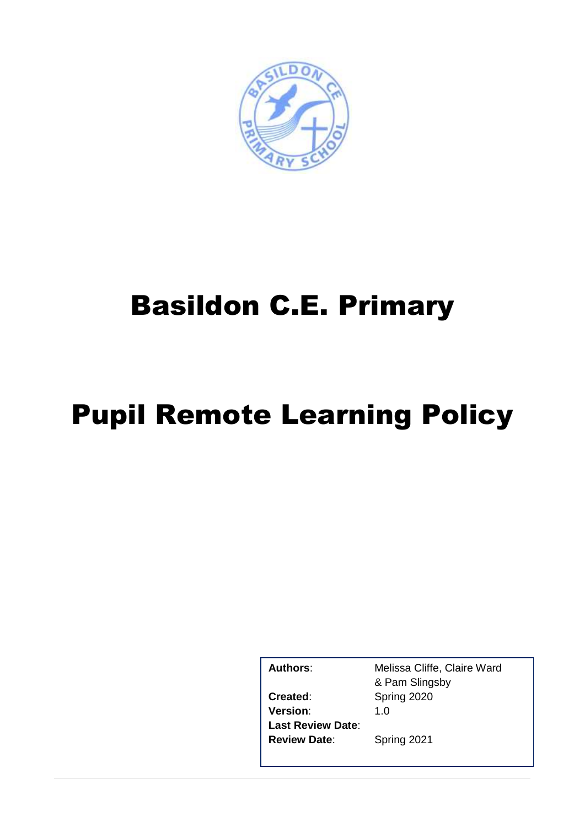

# Basildon C.E. Primary

# Pupil Remote Learning Policy

**Version**: 1.0 **Last Review Date**: **Review Date**: Spring 2021

Authors: Melissa Cliffe, Claire Ward & Pam Slingsby **Created**: Spring 2020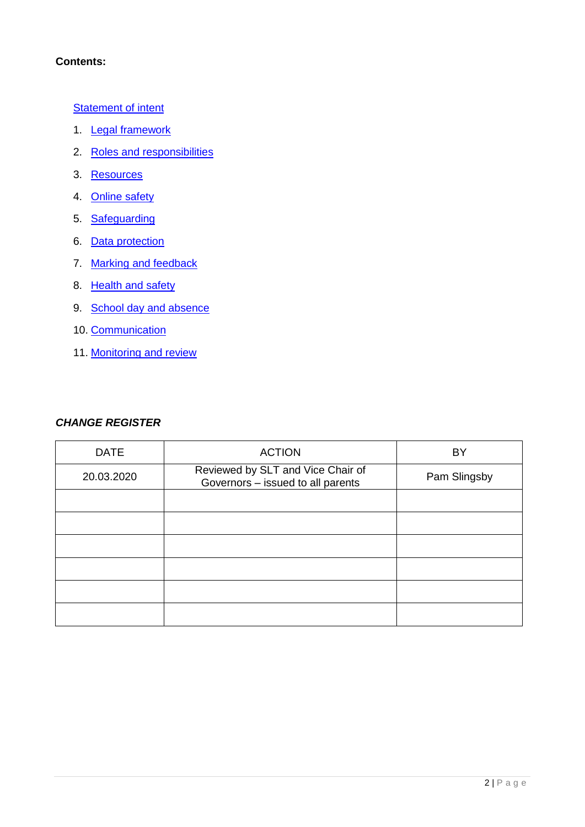# **Contents:**

**[Statement of intent](#page-2-0)** 

- 1. [Legal framework](#page-2-1)
- 2. [Roles and responsibilities](#page-3-0)
- 3. [Resources](#page-7-0)
- 4. [Online safety](#page-8-0)
- 5. [Safeguarding](#page-9-0)
- 6. [Data protection](#page-10-0)
- 7. [Marking and feedback](#page-10-1)
- 8. [Health and safety](#page-11-0)
- 9. [School day and absence](#page-12-0)
- 10. [Communication](#page-12-1)
- 11. [Monitoring and review](#page-13-0)

#### *CHANGE REGISTER*

| <b>DATE</b> | <b>ACTION</b>                                                          | BY           |
|-------------|------------------------------------------------------------------------|--------------|
| 20.03.2020  | Reviewed by SLT and Vice Chair of<br>Governors - issued to all parents | Pam Slingsby |
|             |                                                                        |              |
|             |                                                                        |              |
|             |                                                                        |              |
|             |                                                                        |              |
|             |                                                                        |              |
|             |                                                                        |              |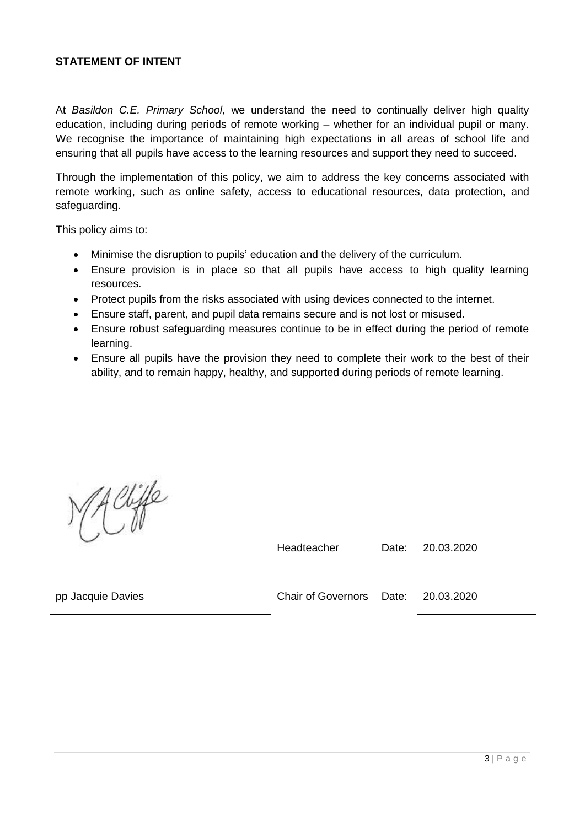#### <span id="page-2-0"></span>**STATEMENT OF INTENT**

At *Basildon C.E. Primary School,* we understand the need to continually deliver high quality education, including during periods of remote working – whether for an individual pupil or many. We recognise the importance of maintaining high expectations in all areas of school life and ensuring that all pupils have access to the learning resources and support they need to succeed.

Through the implementation of this policy, we aim to address the key concerns associated with remote working, such as online safety, access to educational resources, data protection, and safeguarding.

This policy aims to:

- Minimise the disruption to pupils' education and the delivery of the curriculum.
- Ensure provision is in place so that all pupils have access to high quality learning resources.
- Protect pupils from the risks associated with using devices connected to the internet.
- Ensure staff, parent, and pupil data remains secure and is not lost or misused.
- Ensure robust safeguarding measures continue to be in effect during the period of remote learning.
- Ensure all pupils have the provision they need to complete their work to the best of their ability, and to remain happy, healthy, and supported during periods of remote learning.

diffe

Headteacher Date: 20.03.2020

<span id="page-2-1"></span>

pp Jacquie Davies Chair of Governors Date: 20.03.2020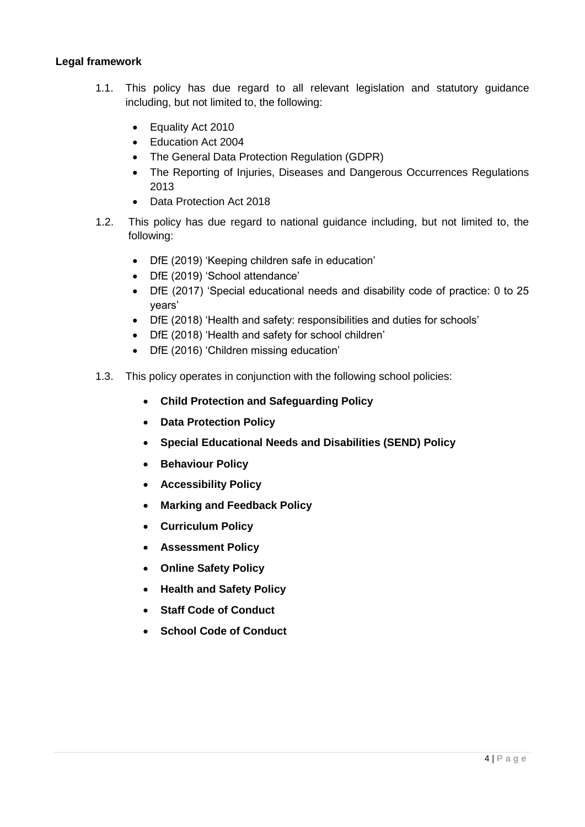#### **Legal framework**

- 1.1. This policy has due regard to all relevant legislation and statutory guidance including, but not limited to, the following:
	- Equality Act 2010
	- Education Act 2004
	- The General Data Protection Regulation (GDPR)
	- The Reporting of Injuries, Diseases and Dangerous Occurrences Regulations 2013
	- Data Protection Act 2018
- 1.2. This policy has due regard to national guidance including, but not limited to, the following:
	- DfE (2019) 'Keeping children safe in education'
	- DfE (2019) 'School attendance'
	- DfE (2017) 'Special educational needs and disability code of practice: 0 to 25 years'
	- DfE (2018) 'Health and safety: responsibilities and duties for schools'
	- DfE (2018) 'Health and safety for school children'
	- DfE (2016) 'Children missing education'
- <span id="page-3-0"></span>1.3. This policy operates in conjunction with the following school policies:
	- **Child Protection and Safeguarding Policy**
	- **Data Protection Policy**
	- **Special Educational Needs and Disabilities (SEND) Policy**
	- **•** Behaviour Policy
	- **Accessibility Policy**
	- **Marking and Feedback Policy**
	- **Curriculum Policy**
	- **Assessment Policy**
	- **Online Safety Policy**
	- **Health and Safety Policy**
	- **Staff Code of Conduct**
	- **School Code of Conduct**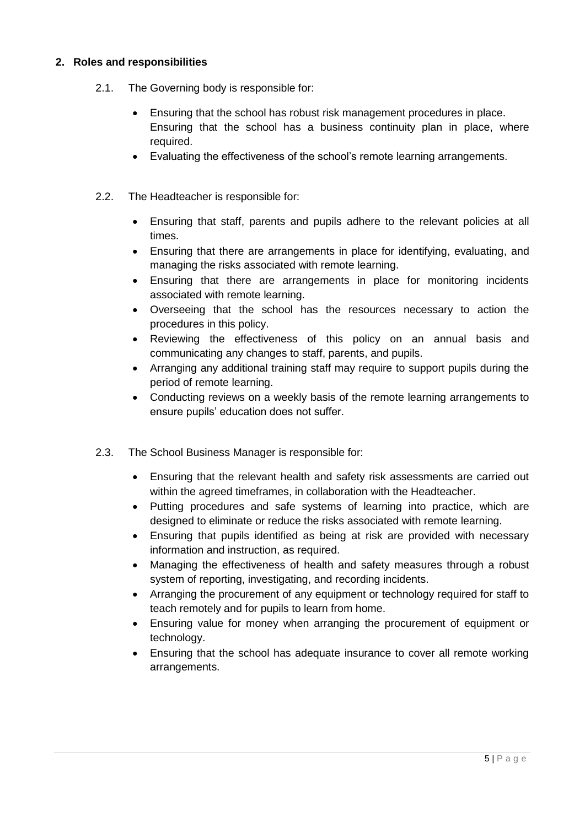# **2. Roles and responsibilities**

- 2.1. The Governing body is responsible for:
	- Ensuring that the school has robust risk management procedures in place. Ensuring that the school has a business continuity plan in place, where required.
	- Evaluating the effectiveness of the school's remote learning arrangements.
- 2.2. The Headteacher is responsible for:
	- Ensuring that staff, parents and pupils adhere to the relevant policies at all times.
	- Ensuring that there are arrangements in place for identifying, evaluating, and managing the risks associated with remote learning.
	- Ensuring that there are arrangements in place for monitoring incidents associated with remote learning.
	- Overseeing that the school has the resources necessary to action the procedures in this policy.
	- Reviewing the effectiveness of this policy on an annual basis and communicating any changes to staff, parents, and pupils.
	- Arranging any additional training staff may require to support pupils during the period of remote learning.
	- Conducting reviews on a weekly basis of the remote learning arrangements to ensure pupils' education does not suffer.
- 2.3. The School Business Manager is responsible for:
	- Ensuring that the relevant health and safety risk assessments are carried out within the agreed timeframes, in collaboration with the Headteacher.
	- Putting procedures and safe systems of learning into practice, which are designed to eliminate or reduce the risks associated with remote learning.
	- Ensuring that pupils identified as being at risk are provided with necessary information and instruction, as required.
	- Managing the effectiveness of health and safety measures through a robust system of reporting, investigating, and recording incidents.
	- Arranging the procurement of any equipment or technology required for staff to teach remotely and for pupils to learn from home.
	- Ensuring value for money when arranging the procurement of equipment or technology.
	- Ensuring that the school has adequate insurance to cover all remote working arrangements.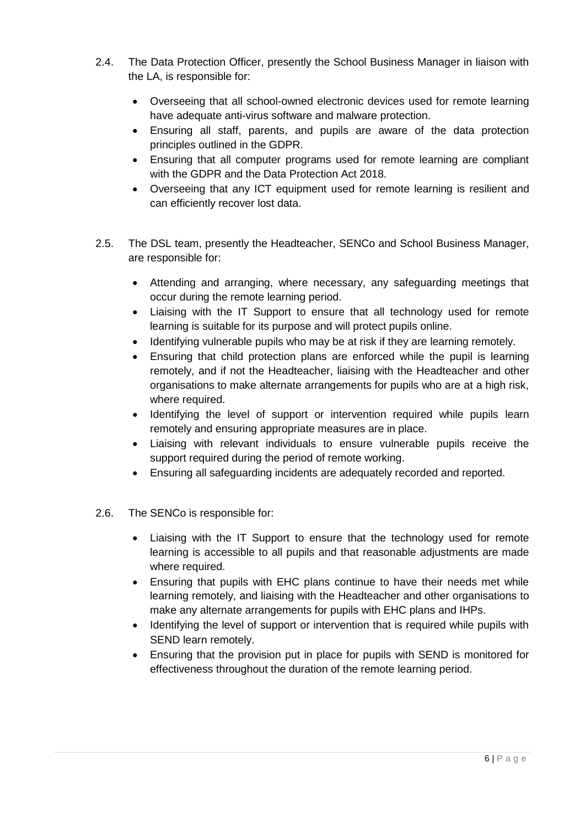- 2.4. The Data Protection Officer, presently the School Business Manager in liaison with the LA, is responsible for:
	- Overseeing that all school-owned electronic devices used for remote learning have adequate anti-virus software and malware protection.
	- Ensuring all staff, parents, and pupils are aware of the data protection principles outlined in the GDPR.
	- Ensuring that all computer programs used for remote learning are compliant with the GDPR and the Data Protection Act 2018.
	- Overseeing that any ICT equipment used for remote learning is resilient and can efficiently recover lost data.
- 2.5. The DSL team, presently the Headteacher, SENCo and School Business Manager, are responsible for:
	- Attending and arranging, where necessary, any safeguarding meetings that occur during the remote learning period.
	- Liaising with the IT Support to ensure that all technology used for remote learning is suitable for its purpose and will protect pupils online.
	- Identifying vulnerable pupils who may be at risk if they are learning remotely.
	- Ensuring that child protection plans are enforced while the pupil is learning remotely, and if not the Headteacher, liaising with the Headteacher and other organisations to make alternate arrangements for pupils who are at a high risk, where required.
	- Identifying the level of support or intervention required while pupils learn remotely and ensuring appropriate measures are in place.
	- Liaising with relevant individuals to ensure vulnerable pupils receive the support required during the period of remote working.
	- Ensuring all safeguarding incidents are adequately recorded and reported.
- 2.6. The SENCo is responsible for:
	- Liaising with the IT Support to ensure that the technology used for remote learning is accessible to all pupils and that reasonable adjustments are made where required.
	- Ensuring that pupils with EHC plans continue to have their needs met while learning remotely, and liaising with the Headteacher and other organisations to make any alternate arrangements for pupils with EHC plans and IHPs.
	- Identifying the level of support or intervention that is required while pupils with SEND learn remotely.
	- Ensuring that the provision put in place for pupils with SEND is monitored for effectiveness throughout the duration of the remote learning period.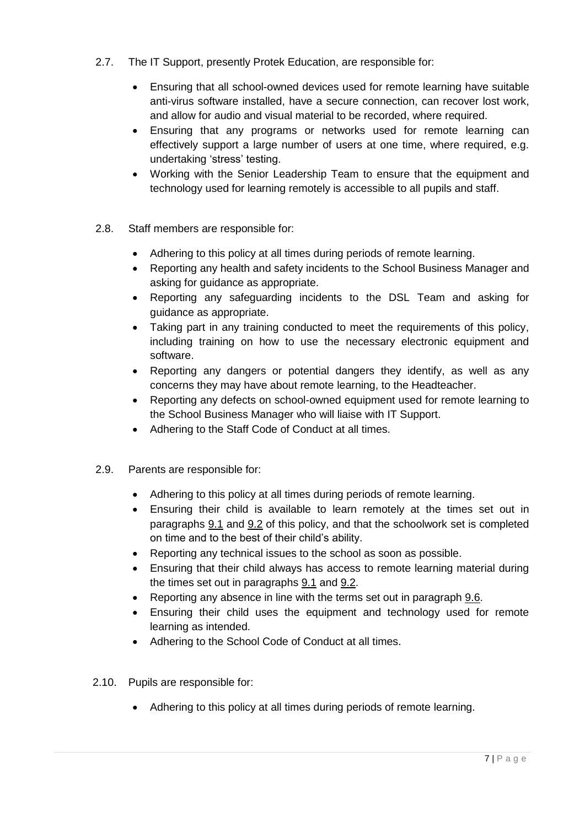- 2.7. The IT Support, presently Protek Education, are responsible for:
	- Ensuring that all school-owned devices used for remote learning have suitable anti-virus software installed, have a secure connection, can recover lost work, and allow for audio and visual material to be recorded, where required.
	- Ensuring that any programs or networks used for remote learning can effectively support a large number of users at one time, where required, e.g. undertaking 'stress' testing.
	- Working with the Senior Leadership Team to ensure that the equipment and technology used for learning remotely is accessible to all pupils and staff.
- 2.8. Staff members are responsible for:
	- Adhering to this policy at all times during periods of remote learning.
	- Reporting any health and safety incidents to the School Business Manager and asking for guidance as appropriate.
	- Reporting any safeguarding incidents to the DSL Team and asking for guidance as appropriate.
	- Taking part in any training conducted to meet the requirements of this policy, including training on how to use the necessary electronic equipment and software.
	- Reporting any dangers or potential dangers they identify, as well as any concerns they may have about remote learning, to the Headteacher.
	- Reporting any defects on school-owned equipment used for remote learning to the School Business Manager who will liaise with IT Support.
	- Adhering to the Staff Code of Conduct at all times.
- 2.9. Parents are responsible for:
	- Adhering to this policy at all times during periods of remote learning.
	- Ensuring their child is available to learn remotely at the times set out in paragraphs [9.1](#page-12-2) and [9.2](#page-12-3) of this policy, and that the schoolwork set is completed on time and to the best of their child's ability.
	- Reporting any technical issues to the school as soon as possible.
	- Ensuring that their child always has access to remote learning material during the times set out in paragraphs [9.1](#page-12-2) and [9.2.](#page-12-3)
	- Reporting any absence in line with the terms set out in paragraph [9.6.](#page-12-4)
	- Ensuring their child uses the equipment and technology used for remote learning as intended.
	- Adhering to the School Code of Conduct at all times.
- 2.10. Pupils are responsible for:
	- Adhering to this policy at all times during periods of remote learning.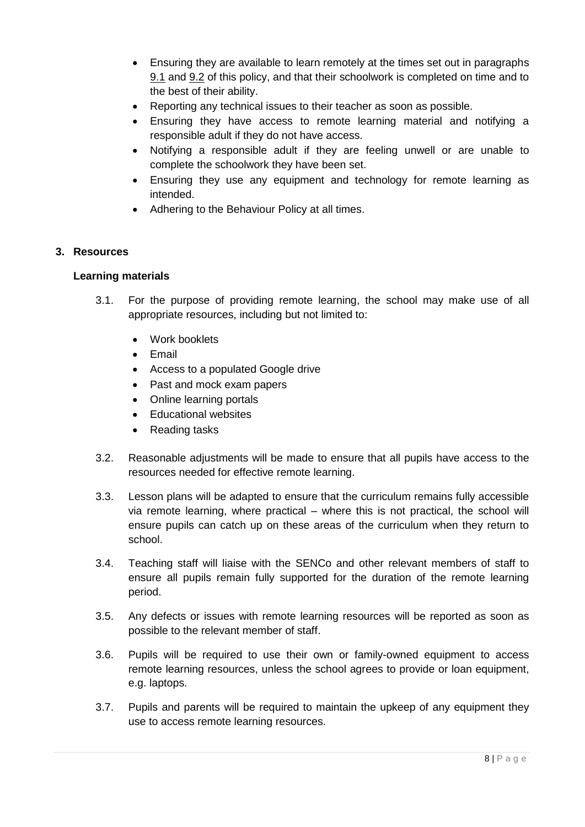- Ensuring they are available to learn remotely at the times set out in paragraphs [9.1](#page-12-2) and [9.2](#page-12-3) of this policy, and that their schoolwork is completed on time and to the best of their ability.
- Reporting any technical issues to their teacher as soon as possible.
- Ensuring they have access to remote learning material and notifying a responsible adult if they do not have access.
- Notifying a responsible adult if they are feeling unwell or are unable to complete the schoolwork they have been set.
- Ensuring they use any equipment and technology for remote learning as intended.
- Adhering to the Behaviour Policy at all times.

# <span id="page-7-0"></span>**3. Resources**

#### **Learning materials**

- 3.1. For the purpose of providing remote learning, the school may make use of all appropriate resources, including but not limited to:
	- Work booklets
	- $\bullet$  Fmail
	- Access to a populated Google drive
	- Past and mock exam papers
	- Online learning portals
	- Educational websites
	- Reading tasks
- 3.2. Reasonable adjustments will be made to ensure that all pupils have access to the resources needed for effective remote learning.
- 3.3. Lesson plans will be adapted to ensure that the curriculum remains fully accessible via remote learning, where practical – where this is not practical, the school will ensure pupils can catch up on these areas of the curriculum when they return to school.
- 3.4. Teaching staff will liaise with the SENCo and other relevant members of staff to ensure all pupils remain fully supported for the duration of the remote learning period.
- 3.5. Any defects or issues with remote learning resources will be reported as soon as possible to the relevant member of staff.
- 3.6. Pupils will be required to use their own or family-owned equipment to access remote learning resources, unless the school agrees to provide or loan equipment, e.g. laptops.
- 3.7. Pupils and parents will be required to maintain the upkeep of any equipment they use to access remote learning resources.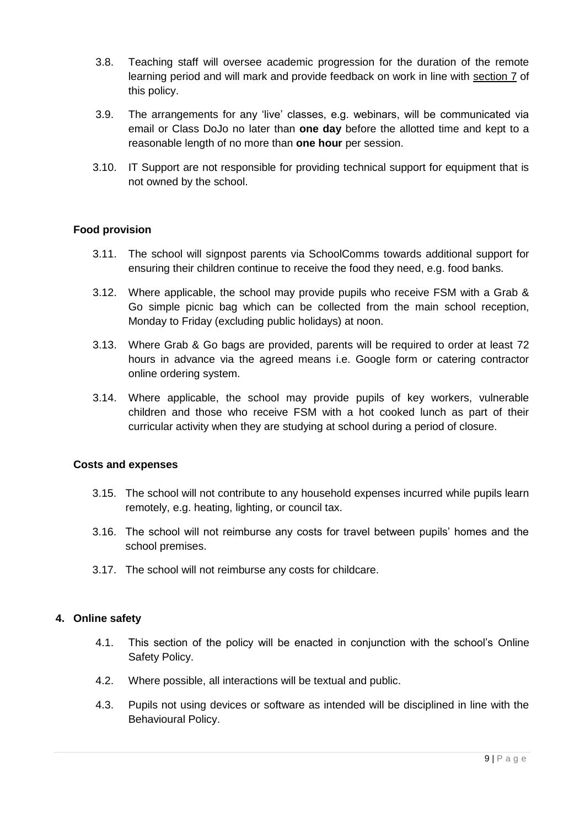- 3.8. Teaching staff will oversee academic progression for the duration of the remote learning period and will mark and provide feedback on work in line with [section 7](#page-10-1) of this policy.
- 3.9. The arrangements for any 'live' classes, e.g. webinars, will be communicated via email or Class DoJo no later than **one day** before the allotted time and kept to a reasonable length of no more than **one hour** per session.
- 3.10. IT Support are not responsible for providing technical support for equipment that is not owned by the school.

# **Food provision**

- 3.11. The school will signpost parents via SchoolComms towards additional support for ensuring their children continue to receive the food they need, e.g. food banks.
- 3.12. Where applicable, the school may provide pupils who receive FSM with a Grab & Go simple picnic bag which can be collected from the main school reception, Monday to Friday (excluding public holidays) at noon.
- 3.13. Where Grab & Go bags are provided, parents will be required to order at least 72 hours in advance via the agreed means i.e. Google form or catering contractor online ordering system.
- 3.14. Where applicable, the school may provide pupils of key workers, vulnerable children and those who receive FSM with a hot cooked lunch as part of their curricular activity when they are studying at school during a period of closure.

#### **Costs and expenses**

- 3.15. The school will not contribute to any household expenses incurred while pupils learn remotely, e.g. heating, lighting, or council tax.
- 3.16. The school will not reimburse any costs for travel between pupils' homes and the school premises.
- 3.17. The school will not reimburse any costs for childcare.

#### <span id="page-8-0"></span>**4. Online safety**

- 4.1. This section of the policy will be enacted in conjunction with the school's Online Safety Policy.
- 4.2. Where possible, all interactions will be textual and public.
- 4.3. Pupils not using devices or software as intended will be disciplined in line with the Behavioural Policy.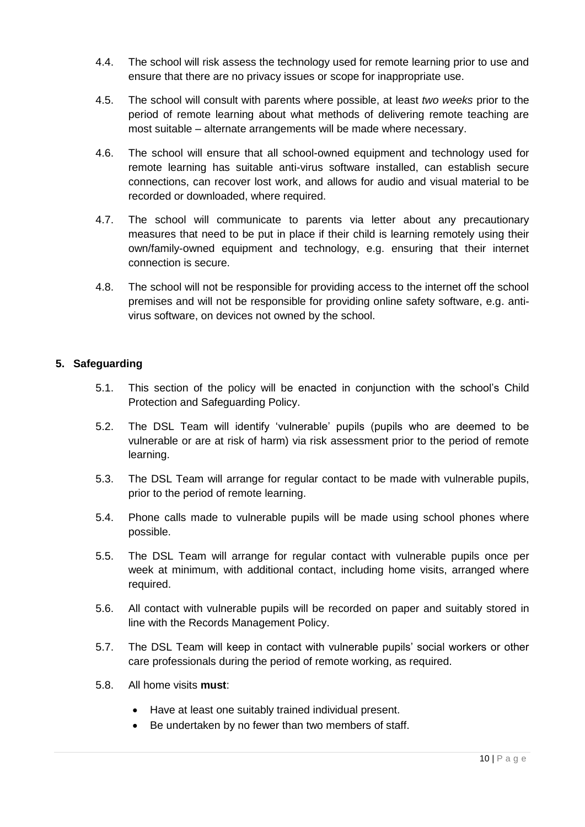- 4.4. The school will risk assess the technology used for remote learning prior to use and ensure that there are no privacy issues or scope for inappropriate use.
- 4.5. The school will consult with parents where possible, at least *two weeks* prior to the period of remote learning about what methods of delivering remote teaching are most suitable – alternate arrangements will be made where necessary.
- 4.6. The school will ensure that all school-owned equipment and technology used for remote learning has suitable anti-virus software installed, can establish secure connections, can recover lost work, and allows for audio and visual material to be recorded or downloaded, where required.
- 4.7. The school will communicate to parents via letter about any precautionary measures that need to be put in place if their child is learning remotely using their own/family-owned equipment and technology, e.g. ensuring that their internet connection is secure.
- 4.8. The school will not be responsible for providing access to the internet off the school premises and will not be responsible for providing online safety software, e.g. antivirus software, on devices not owned by the school.

# <span id="page-9-0"></span>**5. Safeguarding**

- 5.1. This section of the policy will be enacted in conjunction with the school's Child Protection and Safeguarding Policy.
- 5.2. The DSL Team will identify 'vulnerable' pupils (pupils who are deemed to be vulnerable or are at risk of harm) via risk assessment prior to the period of remote learning.
- 5.3. The DSL Team will arrange for regular contact to be made with vulnerable pupils, prior to the period of remote learning.
- 5.4. Phone calls made to vulnerable pupils will be made using school phones where possible.
- 5.5. The DSL Team will arrange for regular contact with vulnerable pupils once per week at minimum, with additional contact, including home visits, arranged where required.
- 5.6. All contact with vulnerable pupils will be recorded on paper and suitably stored in line with the Records Management Policy.
- 5.7. The DSL Team will keep in contact with vulnerable pupils' social workers or other care professionals during the period of remote working, as required.
- 5.8. All home visits **must**:
	- Have at least one suitably trained individual present.
	- Be undertaken by no fewer than two members of staff.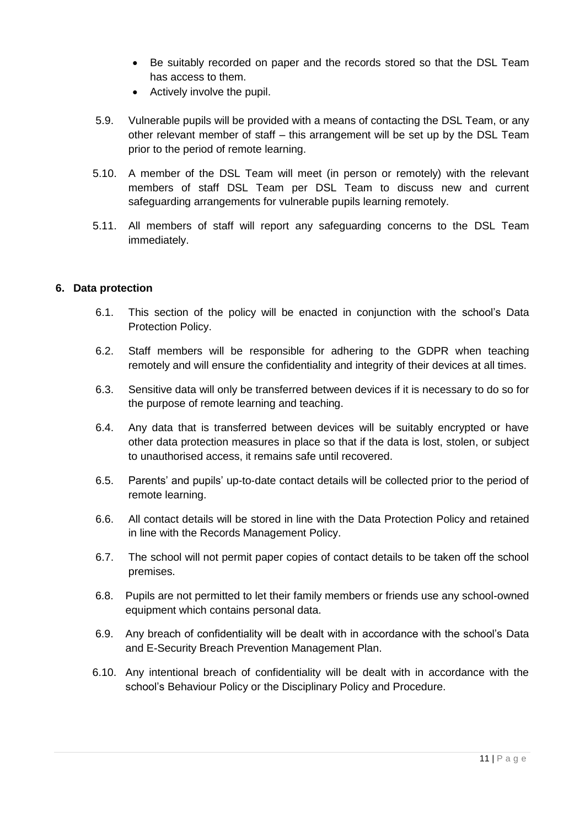- Be suitably recorded on paper and the records stored so that the DSL Team has access to them.
- Actively involve the pupil.
- 5.9. Vulnerable pupils will be provided with a means of contacting the DSL Team, or any other relevant member of staff – this arrangement will be set up by the DSL Team prior to the period of remote learning.
- 5.10. A member of the DSL Team will meet (in person or remotely) with the relevant members of staff DSL Team per DSL Team to discuss new and current safeguarding arrangements for vulnerable pupils learning remotely.
- 5.11. All members of staff will report any safeguarding concerns to the DSL Team immediately.

#### <span id="page-10-0"></span>**6. Data protection**

- 6.1. This section of the policy will be enacted in conjunction with the school's Data Protection Policy.
- 6.2. Staff members will be responsible for adhering to the GDPR when teaching remotely and will ensure the confidentiality and integrity of their devices at all times.
- 6.3. Sensitive data will only be transferred between devices if it is necessary to do so for the purpose of remote learning and teaching.
- 6.4. Any data that is transferred between devices will be suitably encrypted or have other data protection measures in place so that if the data is lost, stolen, or subject to unauthorised access, it remains safe until recovered.
- 6.5. Parents' and pupils' up-to-date contact details will be collected prior to the period of remote learning.
- 6.6. All contact details will be stored in line with the Data Protection Policy and retained in line with the Records Management Policy.
- 6.7. The school will not permit paper copies of contact details to be taken off the school premises.
- 6.8. Pupils are not permitted to let their family members or friends use any school-owned equipment which contains personal data.
- 6.9. Any breach of confidentiality will be dealt with in accordance with the school's Data and E-Security Breach Prevention Management Plan.
- <span id="page-10-1"></span>6.10. Any intentional breach of confidentiality will be dealt with in accordance with the school's Behaviour Policy or the Disciplinary Policy and Procedure.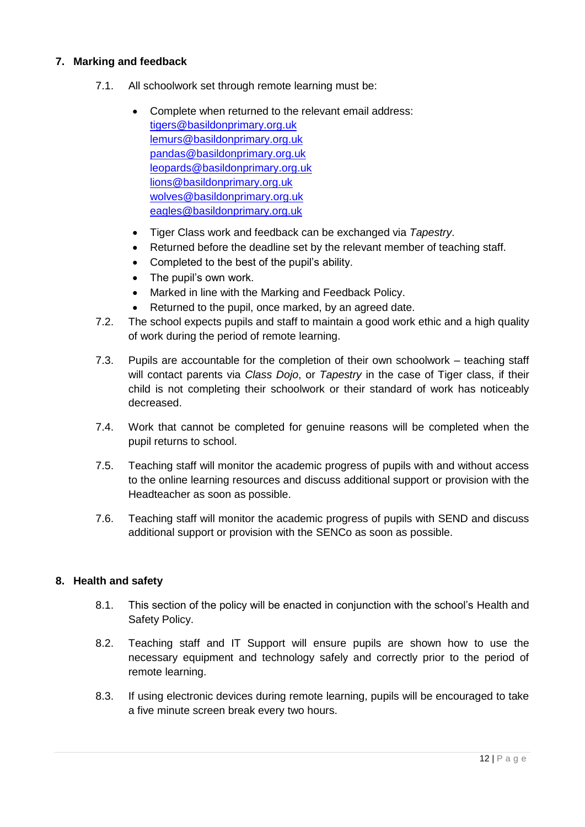# **7. Marking and feedback**

- 7.1. All schoolwork set through remote learning must be:
	- Complete when returned to the relevant email address: [tigers@basildonprimary.org.uk](mailto:tigers@basildonprimary.org.uk) [lemurs@basildonprimary.org.uk](mailto:lemurs@basildonprimary.org.uk) [pandas@basildonprimary.org.uk](mailto:pandas@basildonprimary.org.uk) [leopards@basildonprimary.org.uk](mailto:leopards@basildonprimary.org.uk) [lions@basildonprimary.org.uk](mailto:lions@basildonprimary.org.uk) [wolves@basildonprimary.org.uk](mailto:wolves@basildonprimary.org.uk) [eagles@basildonprimary.org.uk](mailto:eagles@basildonprimary.org.uk)
	- Tiger Class work and feedback can be exchanged via *Tapestry*.
	- Returned before the deadline set by the relevant member of teaching staff.
	- Completed to the best of the pupil's ability.
	- The pupil's own work.
	- Marked in line with the Marking and Feedback Policy.
	- Returned to the pupil, once marked, by an agreed date.
- 7.2. The school expects pupils and staff to maintain a good work ethic and a high quality of work during the period of remote learning.
- 7.3. Pupils are accountable for the completion of their own schoolwork teaching staff will contact parents via *Class Dojo*, or *Tapestry* in the case of Tiger class, if their child is not completing their schoolwork or their standard of work has noticeably decreased.
- 7.4. Work that cannot be completed for genuine reasons will be completed when the pupil returns to school.
- 7.5. Teaching staff will monitor the academic progress of pupils with and without access to the online learning resources and discuss additional support or provision with the Headteacher as soon as possible.
- 7.6. Teaching staff will monitor the academic progress of pupils with SEND and discuss additional support or provision with the SENCo as soon as possible.

#### <span id="page-11-0"></span>**8. Health and safety**

- 8.1. This section of the policy will be enacted in conjunction with the school's Health and Safety Policy.
- 8.2. Teaching staff and IT Support will ensure pupils are shown how to use the necessary equipment and technology safely and correctly prior to the period of remote learning.
- 8.3. If using electronic devices during remote learning, pupils will be encouraged to take a five minute screen break every two hours.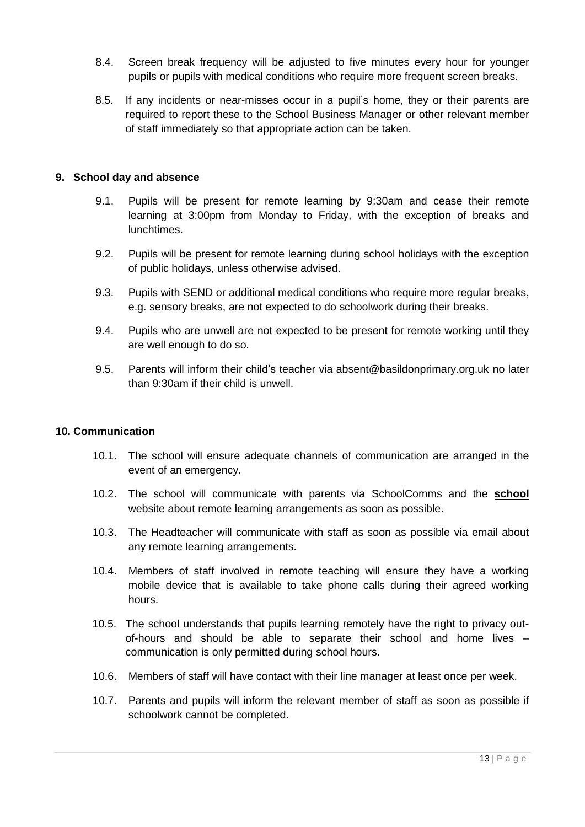- 8.4. Screen break frequency will be adjusted to five minutes every hour for younger pupils or pupils with medical conditions who require more frequent screen breaks.
- 8.5. If any incidents or near-misses occur in a pupil's home, they or their parents are required to report these to the School Business Manager or other relevant member of staff immediately so that appropriate action can be taken.

#### <span id="page-12-2"></span><span id="page-12-0"></span>**9. School day and absence**

- 9.1. Pupils will be present for remote learning by 9:30am and cease their remote learning at 3:00pm from Monday to Friday, with the exception of breaks and lunchtimes.
- <span id="page-12-3"></span>9.2. Pupils will be present for remote learning during school holidays with the exception of public holidays, unless otherwise advised.
- 9.3. Pupils with SEND or additional medical conditions who require more regular breaks, e.g. sensory breaks, are not expected to do schoolwork during their breaks.
- 9.4. Pupils who are unwell are not expected to be present for remote working until they are well enough to do so.
- <span id="page-12-4"></span>9.5. Parents will inform their child's teacher via absent@basildonprimary.org.uk no later than 9:30am if their child is unwell.

#### <span id="page-12-1"></span>**10. Communication**

- 10.1. The school will ensure adequate channels of communication are arranged in the event of an emergency.
- 10.2. The school will communicate with parents via SchoolComms and the **school**  website about remote learning arrangements as soon as possible.
- 10.3. The Headteacher will communicate with staff as soon as possible via email about any remote learning arrangements.
- 10.4. Members of staff involved in remote teaching will ensure they have a working mobile device that is available to take phone calls during their agreed working hours.
- 10.5. The school understands that pupils learning remotely have the right to privacy outof-hours and should be able to separate their school and home lives – communication is only permitted during school hours.
- 10.6. Members of staff will have contact with their line manager at least once per week.
- 10.7. Parents and pupils will inform the relevant member of staff as soon as possible if schoolwork cannot be completed.